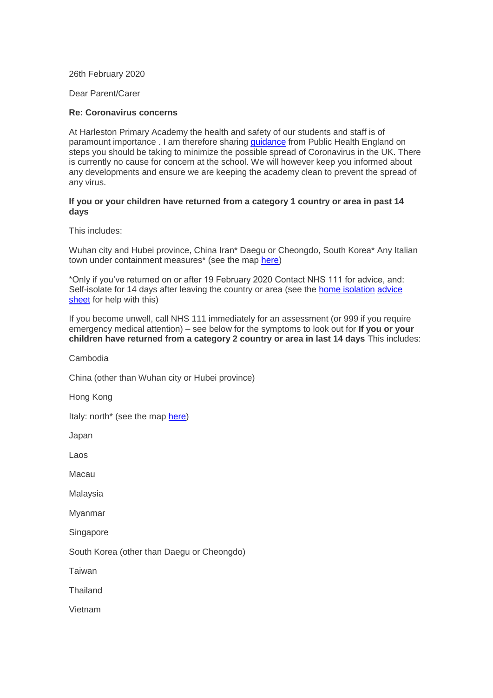26th February 2020

Dear Parent/Carer

## **Re: Coronavirus concerns**

At Harleston Primary Academy the health and safety of our students and staff is of paramount importance . I am therefore sharing [guidance](https://www.gov.uk/government/publications/guidance-to-educational-settings-about-covid-19/guidance-to-educational-settings-about-covid-19) from Public Health England on steps you should be taking to minimize the possible spread of Coronavirus in the UK. There is currently no cause for concern at the school. We will however keep you informed about any developments and ensure we are keeping the academy clean to prevent the spread of any virus.

## **If you or your children have returned from a category 1 country or area in past 14 days**

This includes:

Wuhan city and Hubei province, China Iran\* Daegu or Cheongdo, South Korea\* Any Italian town under containment measures\* (see the map [here\)](https://www.gov.uk/government/publications/covid-19-specified-countries-and-areas)

\*Only if you've returned on or after 19 February 2020 Contact NHS 111 for advice, and: Self-isolate for 14 days after leaving the country or area (see the **[home isolation](https://www.gov.uk/government/publications/wuhan-novel-coronavirus-self-isolation-for-patients-undergoing-testing/advice-sheet-home-isolation) advice** [sheet](https://www.gov.uk/government/publications/wuhan-novel-coronavirus-self-isolation-for-patients-undergoing-testing/advice-sheet-home-isolation) for help with this)

If you become unwell, call NHS 111 immediately for an assessment (or 999 if you require emergency medical attention) – see below for the symptoms to look out for **If you or your children have returned from a category 2 country or area in last 14 days** This includes:

Cambodia

China (other than Wuhan city or Hubei province)

Hong Kong

Italy: north\* (see the map [here\)](https://www.gov.uk/government/publications/covid-19-specified-countries-and-areas)

Japan

Laos

Macau

Malaysia

Myanmar

**Singapore** 

South Korea (other than Daegu or Cheongdo)

Taiwan

**Thailand** 

Vietnam